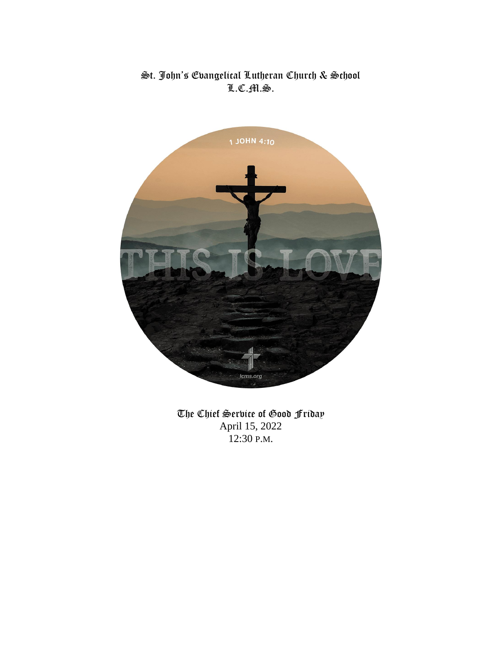## $\mathfrak{S}$ t. John's Evangelical Lutheran Church & School L.C.M.S.



The Chief Service of Good Friday April 15, 2022 12:30 P.M.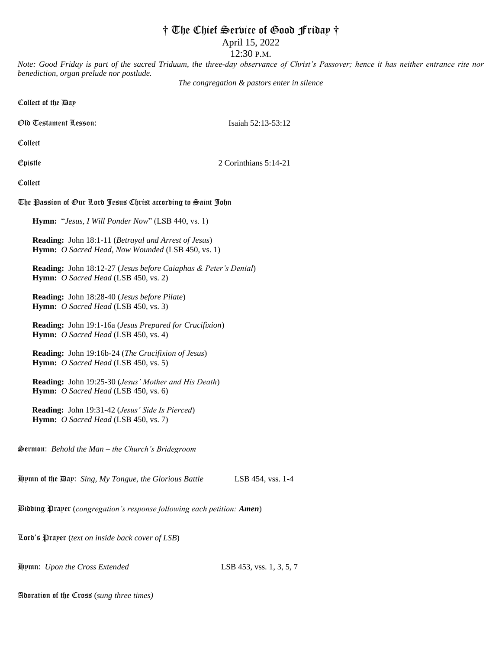## † The Chief Service of Good Friday †

April 15, 2022

12:30 P.M.

*Note: Good Friday is part of the sacred Triduum, the three-day observance of Christ's Passover; hence it has neither entrance rite nor benediction, organ prelude nor postlude.*

*The congregation & pastors enter in silence*

Collect of the Day

Old Testament Lesson: Isaiah 52:13-53:12

Collect

 $\mathfrak{g}_1$   $\mathfrak{g}_2$   $\mathfrak{g}_3$   $\mathfrak{g}_5$   $\mathfrak{g}_6$   $\mathfrak{g}_7$   $\mathfrak{g}_8$   $\mathfrak{g}_7$   $\mathfrak{g}_8$   $\mathfrak{g}_7$   $\mathfrak{g}_8$   $\mathfrak{g}_7$   $\mathfrak{g}_8$   $\mathfrak{g}_7$   $\mathfrak{g}_8$   $\mathfrak{g}_7$   $\mathfrak{g}_8$   $\mathfrak{g}_7$   $\mathfrak{g}_8$   $\mathfrak{g}_7$ 

Collect

## The Passion of Our Lord Jesus Christ according to Saint John

 **Hymn:** "*Jesus, I Will Ponder Now*" (LSB 440, vs. 1)

**Reading:** John 18:1-11 (*Betrayal and Arrest of Jesus*) **Hymn:** *O Sacred Head, Now Wounded* (LSB 450, vs. 1)

**Reading:** John 18:12-27 (*Jesus before Caiaphas & Peter's Denial*) **Hymn:** *O Sacred Head* (LSB 450, vs. 2)

**Reading:** John 18:28-40 (*Jesus before Pilate*) **Hymn:** *O Sacred Head* (LSB 450, vs. 3)

**Reading:** John 19:1-16a (*Jesus Prepared for Crucifixion*) **Hymn:** *O Sacred Head* (LSB 450, vs. 4)

**Reading:** John 19:16b-24 (*The Crucifixion of Jesus*) **Hymn:** *O Sacred Head* (LSB 450, vs. 5)

**Reading:** John 19:25-30 (*Jesus' Mother and His Death*) **Hymn:** *O Sacred Head* (LSB 450, vs. 6)

 **Reading:** John 19:31-42 (*Jesus' Side Is Pierced*) **Hymn:** *O Sacred Head* (LSB 450, vs. 7)

Sermon: *Behold the Man – the Church's Bridegroom*

Hymn of the Day: *Sing, My Tongue, the Glorious Battle* LSB 454, vss. 1-4

Bidding Prayer (*congregation's response following each petition: Amen*)

Lord's Prayer (*text on inside back cover of LSB*)

Hymn: *Upon the Cross Extended* LSB 453, vss. 1, 3, 5, 7

Adoration of the Cross (*sung three times)*